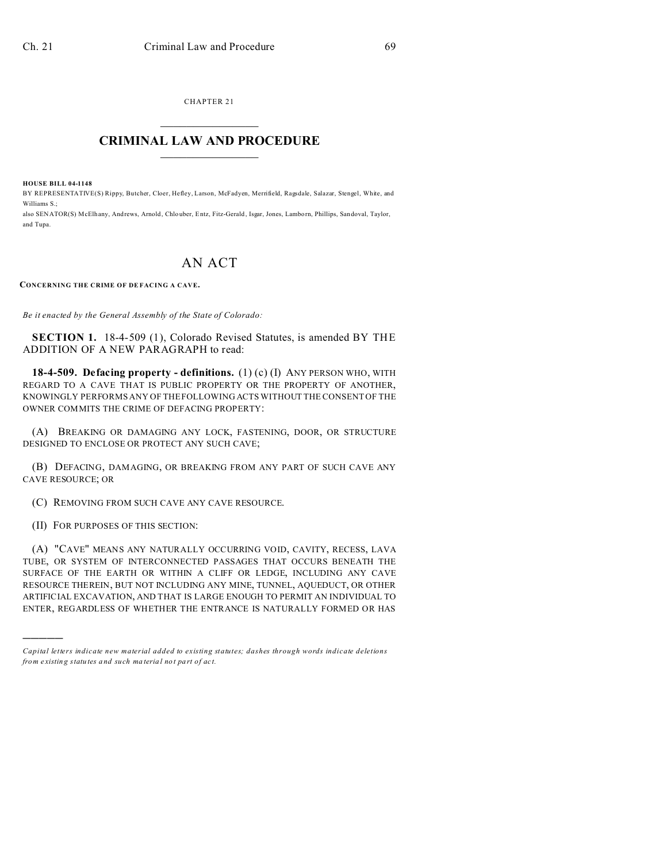CHAPTER 21  $\overline{\phantom{a}}$  , where  $\overline{\phantom{a}}$ 

## **CRIMINAL LAW AND PROCEDURE**  $\_$

**HOUSE BILL 04-1148**

BY REPRESENTATIVE(S) Rippy, Butcher, Cloer, Hefley, Larson, McFadyen, Merrifield, Ragsdale, Salazar, Stengel, White, and Williams S.;

also SENATOR(S) McElhany, Andrews, Arnold , Chlo uber, Entz, Fitz-Gerald , Isgar, Jones, Lamborn, Phillips, San doval, Taylor, and Tupa.

## AN ACT

**CONCERNING THE CRIME OF DE FACING A CAVE.**

*Be it enacted by the General Assembly of the State of Colorado:*

**SECTION 1.** 18-4-509 (1), Colorado Revised Statutes, is amended BY THE ADDITION OF A NEW PARAGRAPH to read:

**18-4-509. Defacing property - definitions.** (1) (c) (I) ANY PERSON WHO, WITH REGARD TO A CAVE THAT IS PUBLIC PROPERTY OR THE PROPERTY OF ANOTHER, KNOWINGLY PERFORMS ANY OF THE FOLLOWING ACTS WITHOUT THE CONSENT OF THE OWNER COMMITS THE CRIME OF DEFACING PROPERTY:

(A) BREAKING OR DAMAGING ANY LOCK, FASTENING, DOOR, OR STRUCTURE DESIGNED TO ENCLOSE OR PROTECT ANY SUCH CAVE;

(B) DEFACING, DAMAGING, OR BREAKING FROM ANY PART OF SUCH CAVE ANY CAVE RESOURCE; OR

(C) REMOVING FROM SUCH CAVE ANY CAVE RESOURCE.

(II) FOR PURPOSES OF THIS SECTION:

)))))

(A) "CAVE" MEANS ANY NATURALLY OCCURRING VOID, CAVITY, RECESS, LAVA TUBE, OR SYSTEM OF INTERCONNECTED PASSAGES THAT OCCURS BENEATH THE SURFACE OF THE EARTH OR WITHIN A CLIFF OR LEDGE, INCLUDING ANY CAVE RESOURCE THEREIN, BUT NOT INCLUDING ANY MINE, TUNNEL, AQUEDUCT, OR OTHER ARTIFICIAL EXCAVATION, AND THAT IS LARGE ENOUGH TO PERMIT AN INDIVIDUAL TO ENTER, REGARDLESS OF WHETHER THE ENTRANCE IS NATURALLY FORMED OR HAS

*Capital letters indicate new material added to existing statutes; dashes through words indicate deletions from e xistin g statu tes a nd such ma teria l no t pa rt of ac t.*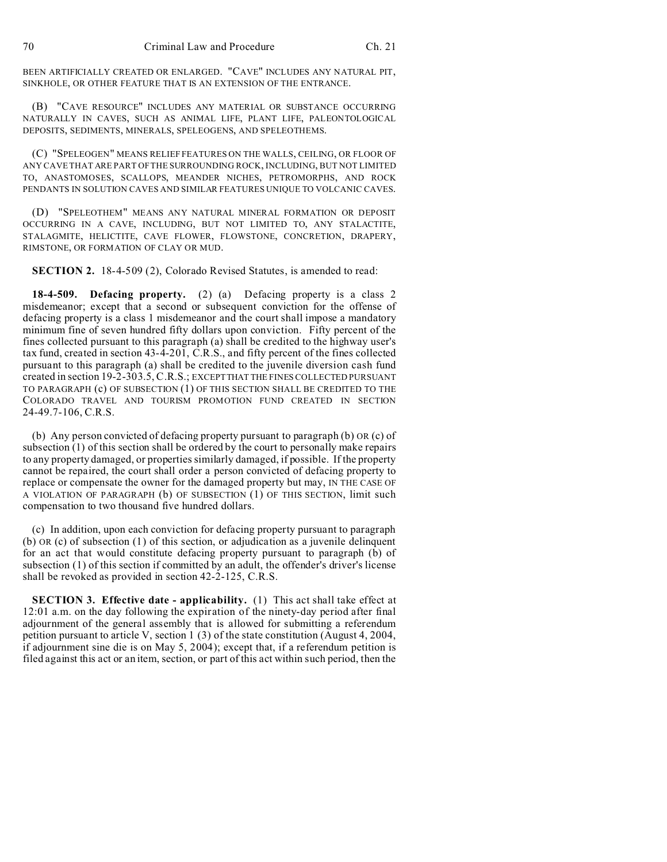BEEN ARTIFICIALLY CREATED OR ENLARGED. "CAVE" INCLUDES ANY NATURAL PIT, SINKHOLE, OR OTHER FEATURE THAT IS AN EXTENSION OF THE ENTRANCE.

(B) "CAVE RESOURCE" INCLUDES ANY MATERIAL OR SUBSTANCE OCCURRING NATURALLY IN CAVES, SUCH AS ANIMAL LIFE, PLANT LIFE, PALEONTOLOGICAL DEPOSITS, SEDIMENTS, MINERALS, SPELEOGENS, AND SPELEOTHEMS.

(C) "SPELEOGEN" MEANS RELIEF FEATURES ON THE WALLS, CEILING, OR FLOOR OF ANY CAVE THAT ARE PART OF THE SURROUNDING ROCK, INCLUDING, BUT NOT LIMITED TO, ANASTOMOSES, SCALLOPS, MEANDER NICHES, PETROMORPHS, AND ROCK PENDANTS IN SOLUTION CAVES AND SIMILAR FEATURES UNIQUE TO VOLCANIC CAVES.

(D) "SPELEOTHEM" MEANS ANY NATURAL MINERAL FORMATION OR DEPOSIT OCCURRING IN A CAVE, INCLUDING, BUT NOT LIMITED TO, ANY STALACTITE, STALAGMITE, HELICTITE, CAVE FLOWER, FLOWSTONE, CONCRETION, DRAPERY, RIMSTONE, OR FORMATION OF CLAY OR MUD.

**SECTION 2.** 18-4-509 (2), Colorado Revised Statutes, is amended to read:

**18-4-509. Defacing property.** (2) (a) Defacing property is a class 2 misdemeanor; except that a second or subsequent conviction for the offense of defacing property is a class 1 misdemeanor and the court shall impose a mandatory minimum fine of seven hundred fifty dollars upon conviction. Fifty percent of the fines collected pursuant to this paragraph (a) shall be credited to the highway user's tax fund, created in section 43-4-201, C.R.S., and fifty percent of the fines collected pursuant to this paragraph (a) shall be credited to the juvenile diversion cash fund created in section 19-2-303.5, C.R.S.; EXCEPTTHAT THE FINES COLLECTED PURSUANT TO PARAGRAPH (c) OF SUBSECTION (1) OF THIS SECTION SHALL BE CREDITED TO THE COLORADO TRAVEL AND TOURISM PROMOTION FUND CREATED IN SECTION 24-49.7-106, C.R.S.

(b) Any person convicted of defacing property pursuant to paragraph (b) OR (c) of subsection (1) of this section shall be ordered by the court to personally make repairs to any property damaged, or properties similarly damaged, if possible. If the property cannot be repaired, the court shall order a person convicted of defacing property to replace or compensate the owner for the damaged property but may, IN THE CASE OF A VIOLATION OF PARAGRAPH (b) OF SUBSECTION (1) OF THIS SECTION, limit such compensation to two thousand five hundred dollars.

(c) In addition, upon each conviction for defacing property pursuant to paragraph (b) OR (c) of subsection (1) of this section, or adjudication as a juvenile delinquent for an act that would constitute defacing property pursuant to paragraph (b) of subsection (1) of this section if committed by an adult, the offender's driver's license shall be revoked as provided in section 42-2-125, C.R.S.

**SECTION 3. Effective date - applicability.** (1) This act shall take effect at 12:01 a.m. on the day following the expiration of the ninety-day period after final adjournment of the general assembly that is allowed for submitting a referendum petition pursuant to article V, section 1 (3) of the state constitution (August 4, 2004, if adjournment sine die is on May 5, 2004); except that, if a referendum petition is filed against this act or an item, section, or part of this act within such period, then the